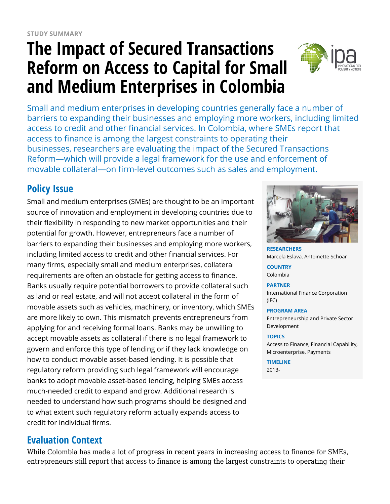# **The Impact of Secured Transactions Reform on Access to Capital for Small and Medium Enterprises in Colombia**



Small and medium enterprises in developing countries generally face a number of barriers to expanding their businesses and employing more workers, including limited access to credit and other financial services. In Colombia, where SMEs report that access to finance is among the largest constraints to operating their businesses, researchers are evaluating the impact of the Secured Transactions Reform—which will provide a legal framework for the use and enforcement of movable collateral—on firm-level outcomes such as sales and employment.

## **Policy Issue**

Small and medium enterprises (SMEs) are thought to be an important source of innovation and employment in developing countries due to their flexibility in responding to new market opportunities and their potential for growth. However, entrepreneurs face a number of barriers to expanding their businesses and employing more workers, including limited access to credit and other financial services. For many firms, especially small and medium enterprises, collateral requirements are often an obstacle for getting access to finance. Banks usually require potential borrowers to provide collateral such as land or real estate, and will not accept collateral in the form of movable assets such as vehicles, machinery, or inventory, which SMEs are more likely to own. This mismatch prevents entrepreneurs from applying for and receiving formal loans. Banks may be unwilling to accept movable assets as collateral if there is no legal framework to govern and enforce this type of lending or if they lack knowledge on how to conduct movable asset-based lending. It is possible that regulatory reform providing such legal framework will encourage banks to adopt movable asset-based lending, helping SMEs access much-needed credit to expand and grow. Additional research is needed to understand how such programs should be designed and to what extent such regulatory reform actually expands access to credit for individual firms.

## **Evaluation Context**

While Colombia has made a lot of progress in recent years in increasing access to finance for SMEs, entrepreneurs still report that access to finance is among the largest constraints to operating their



**RESEARCHERS** Marcela Eslava, Antoinette Schoar

**COUNTRY** Colombia

**PARTNER** International Finance Corporation (IFC)

#### **PROGRAM AREA**

Entrepreneurship and Private Sector Development

#### **TOPICS**

Access to Finance, Financial Capability, Microenterprise, Payments

**TIMELINE** 2013-